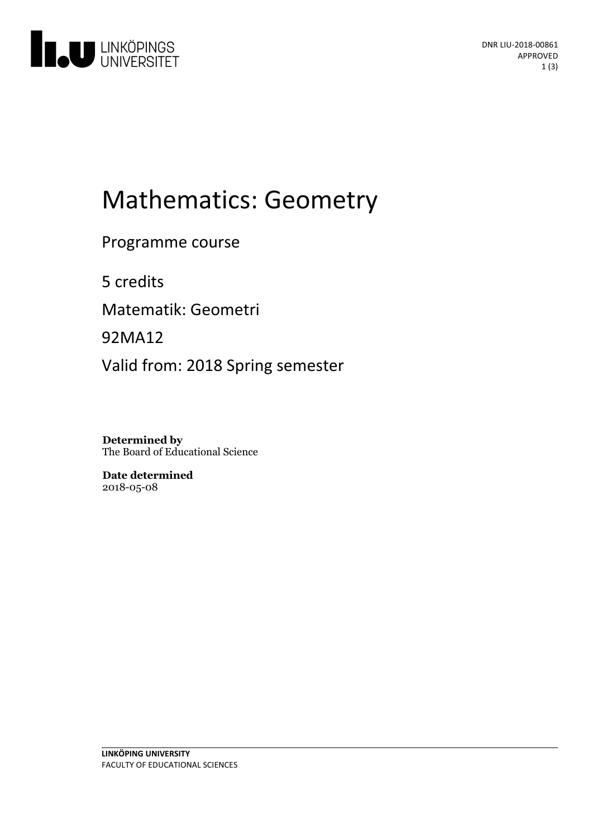

# Mathematics: Geometry

Programme course

5 credits

Matematik: Geometri

92MA12

Valid from: 2018 Spring semester

**Determined by** The Board of Educational Science

**Date determined** 2018-05-08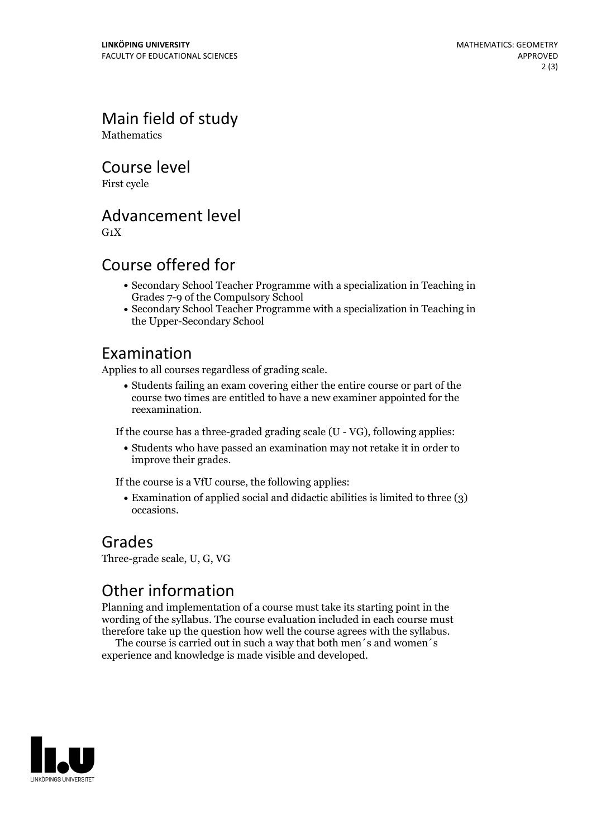Main field of study **Mathematics** 

Course level

First cycle

Advancement level

 $G_1X$ 

#### Course offered for

- Secondary School Teacher Programme with a specialization in Teaching in Grades 7-9 of the Compulsory School
- Secondary School Teacher Programme with a specialization in Teaching in the Upper-Secondary School

#### Examination

Applies to all courses regardless of grading scale.

Students failing an exam covering either the entire course or part of the course two times are entitled to have a new examiner appointed for the reexamination.

If the course has a three-graded grading scale (U - VG), following applies:

Students who have passed an examination may not retake it in order to improve their grades.

If the course is a VfU course, the following applies:

Examination of applied social and didactic abilities is limited to three (3) occasions.

#### Grades

Three-grade scale, U, G, VG

### Other information

Planning and implementation of a course must take its starting point in the wording of the syllabus. The course evaluation included in each course must therefore take up the question how well the course agrees with the syllabus. The course is carried outin such <sup>a</sup> way that both men´s and women´s

experience and knowledge is made visible and developed.